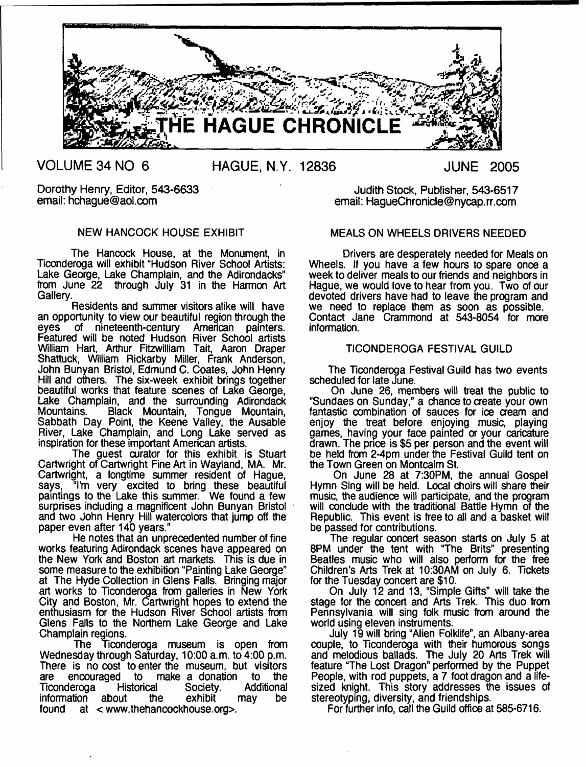

**VOLUME 34 NO 6 HAGUE, N.Y. 12836 JUNE 2005**

## NEW HANCOCK HOUSE EXHIBIT

The Hancock House, at the Monument, in Ticonderoga will exhibit "Hudson River School Artists: Lake George, Lake Champlain, and the Adirondacks" from June 22 through July 31 in the Harmon Art Gallery.

Residents and summer visitors alike will have an opportunity to view our beautiful region through the eyes of nineteenth-century American painters. of nineteenth-century Featured will be noted Hudson River School artists William Hart, Arthur Fitzwilliam Tait, Aaron Draper Shattuck, William Rickarby Miller, Frank Anderson, John Bunyan Bristol, Edmund C. Coates, John Henry Hill and others. The six-week exhibit brings together beautiful works that feature scenes of Lake George, Lake Champlain, and the surrounding Adirondack<br>Mountains. Black Mountain. Tonque Mountain. Black Mountain, Tongue Mountain, Sabbath Day Point, the Keene Valley, the Ausable River, Lake Champlain, and Long Lake served as inspiration for these important American artists.

The guest curator for this exhibit is Stuart Cartwright of Cartwright Fine Art in Wayland, MA. Mr. Cartwright, a longtime summer resident of Hague, says, "I'm very excited to bring these beautiful paintings to the Lake this summer. We found a few surprises including a magnificent John Bunyan Bristol and two John Henry Hill watercolors that jump off the paper even after 140 years."

He notes that an unprecedented number of fine works featuring Adirondack scenes have appeared on the New York and Boston art markets. This is due in some measure to the exhibition "Painting Lake George" at The Hyde Collection in Glens Falls. Bringing major art works to Ticonderoga from galleries in New York City and Boston, Mr. Cartwright hopes to extend the enthusiasm for the Hudson River School artists from Glens Falls to the Northern Lake George and Lake Champlain regions.

The Ticonderoga museum is open from Wednesday through Saturday, 10:00 a.m. to 4:00 p.m. There is no cost to enter the museum, but visitors are encouraged to make a donation to the are encouraged to make a donation to the<br>Ticonderoga Historical Society. Additional Ticonderoga information about the exhibit may be found at < [www.thehancockhouse.org>](http://www.thehancockhouse.org).

Dorothy Henry, Editor, 543-6633<br>
email: hchague@aol.com email: HaqueChronicle@nycap.rr.com email: HaqueChronicle@nycap.rr.com

## MEALS ON WHEELS DRIVERS NEEDED

Drivers are desperately needed for Meals on Wheels. If you have a few hours to spare once a week to deliver meals to our friends and neighbors in Hague, we would love to hear from you. Two of our devoted drivers have had to leave the program and we need to replace them as soon as possible. Contact Jane Crammond at 543-8054 for more information.

## TICONDEROGA FESTIVAL GUILD

The Ticonderoga Festival Guild has two events scheduled for late June.

On June 26, members will treat the public to "Sundaes on Sunday," a chance to create your own fantastic combination of sauces for ice cream and enjoy the treat before enjoying music, playing games, having your face painted or your caricature drawn. The price is \$5 per person and the event will be held from 2-4pm under the Festival Guild tent on the Town Green on Montcalm St.

On June 28 at 7:30PM, the annual Gospel Hymn Sing will be held. Local choirs will share their music, the audience will participate, and the program will conclude with the traditional Battle Hymn of the Republic. This event is free to all and a basket will be passed for contributions.

The regular concert season starts on July 5 at 8PM under the tent with "The Brits" presenting Beatles music who will also perform for the free Children's Arts Trek at 10:30AM on July 6. Tickets for the Tuesday concert are \$10.

On July 12 and 13, "Simple Gifts" will take the stage for the concert and Arts Trek. This duo from Pennsylvania will sing folk music from around the world using eleven instruments.

July 19 will bring "Alien Folklife", an Albany-area couple, to Ticonderoga with their humorous songs and melodious ballads. The July 20 Arts Trek will feature "The Lost Dragon" performed by the Puppet People, with rod puppets, a 7 foot dragon and a lifesized knight. This story addresses the issues of stereotyping, diversity, and friendships.

For further info, call the Guild office at 585-6716.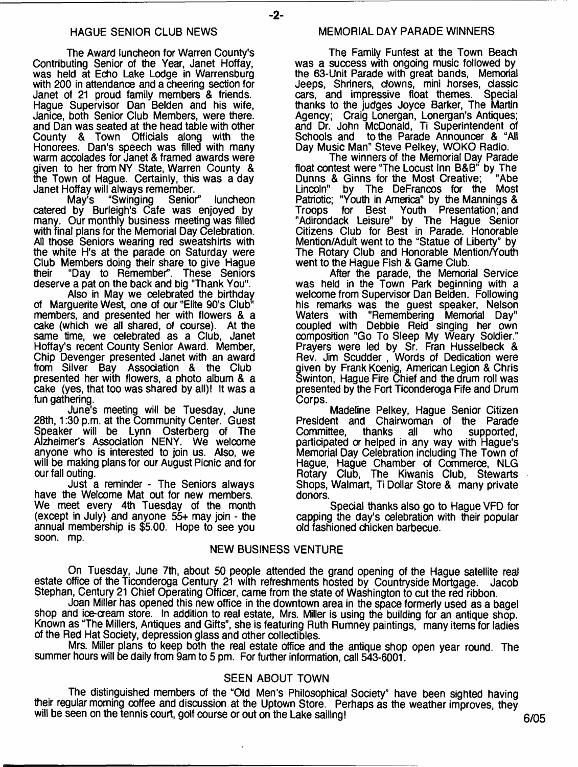-2-

The Award luncheon for Warren County's Contributing Senior of the Year, Janet Hoffay, was held at Echo Lake Lodge in Warrensburg with 200 in attendance and a cheering section for Janet of 21 proud family members & friends. Hague Supervisor Dan Belden and his wife, Janice, both Senior Club Members, were there, and Dan was seated at the head table with other County & Town Officials along with the Honorees. Dan's speech was filled with many warm accolades for Janet & framed awards were given to her from NY State, Warren County & the Town of Hague. Certainly, this was a day

Janet Hoffay will always remember. "Swinging Senior" luncheon catered by Burleigh's Cafe was enjoyed by many. Our monthly business meeting was filled with final plans for the Memorial Day Celebration. All those Seniors wearing red sweatshirts with the white H's at the parade on Saturday were Club Members doing their share to give Hague<br>their "Day to Remember". These Seniors "Day to Remember". deserve a pat on the back and big "Thank You".

Also in May we celebrated the birthday of Marguerite West, one of our "Elite 90's Club" members, and presented her with flowers & a cake (which we all shared, of course). At the same time, we celebrated as a Club, Janet Hoffay's recent County Senior Award. Member, Chip Devenger presented Janet with an award from Silver Bay Association & the Club presented her with flowers, a photo album & a cake (yes, that too was shared by all)! It was a fun gathering.

June's meeting will be Tuesday, June 28th, 1:30 p.m. at the Community Center. Guest Speaker will be Lynn Osterberg of The Alzheimer's Association NENY. We welcome anyone who is interested to join us. Also, we will be making plans for our August Picnic and for our fall outing.

Just a reminder - The Seniors always have the Welcome Mat out for new members. We meet every 4th Tuesday of the month (except in July) and anyone 55+ may join - the annual membership is \$5.00. Hope to see you soon. mp.

## MEMORIAL DAY PARADE WINNERS

The Family Funfest at the Town Beach was a success with ongoing music followed by the 63-Unit Parade with great bands, Memorial Jeeps, Shriners, clowns, mini horses, classic<br>cars, and impressive float themes. Special cars, and impressive float themes. thanks to the judges Joyce Barker, The Martin Agency; Craig Lonergan, Lonergan's Antiques; and Dr. John McDonald, Ti Superintendent of Schools and to the Parade Announcer & "All Day Music Man" Steve Pelkey, WOKO Radio.

The winners of the Memorial Day Parade float contest were "The Locust Inn B&B" by The Dunns & Ginns for the Most Creative; "Abe Lincoln" by The DeFrancos for the Most Patriotic; "Youth in America" by the Mannings & Troops for Best Youth Presentation; and "Adirondack Leisure" by The Hague Senior Citizens Club for Best in Parade. Honorable Mention/Adult went to the "Statue of Liberty" by The Rotary Club and Honorable Mention/Youth went to the Hague Fish & Game Club.

After the parade, the Memorial Service was held in the Town Park beginning with a welcome from Supervisor Dan Belden. Following his remarks was the guest speaker, Nelson Waters with "Remembering Memorial Day" coupled with Debbie Reid singing her own composition "Go To Sleep My Weary Soldier." Prayers were led by Sr. Fran Husselbeck & Rev. Jim Scudder , Words of Dedication were iven by Frank Koenig, American Legion & Chris Swinton, Hague Fire Chief and the drum roll was presented by the Fort Ticonderoga Fife and Drum Corps.

Madeline Pelkey, Hague Senior Citizen President and Chairwoman of the Parade all who supported, participated or helped in any way with Hague's Memorial Day Celebration including The Town of Hague, Hague Chamber of Commerce, NLG Rotary Club, The Kiwanis Club, Stewarts Shops, Walmart, Ti Dollar Store & many private donors.

Special thanks also go to Hague VFD for capping the day's celebration with their popular old fashioned chicken barbecue.

## NEW BUSINESS VENTURE

On Tuesday, June 7th, about 50 people attended the grand opening of the Hague satellite real estate office of the Ticonderoga Century 21 with refreshments hosted by Countryside Mortgage. Jacob Stephan, Century 21 Chief Operating Officer, came from the state of Washington to cut the red ribbon.

Joan Miller has opened this new office in the downtown area in the space formerly used as a bagel shop and ice-cream store. In addition to real estate, Mrs. Miller is using the building for an antique shop. Known as "The Millers, Antiques and Gifts", she is featuring Ruth Rumney paintings, many items for ladies of the Red Hat Society, depression glass and other collectibles.

Mrs. Miller plans to keep both the real estate office and the antique shop open year round. The summer hours will be daily from 9am to 5 pm. For further information, call 543-6001.

## SEEN ABOUT TOWN

The distinguished members of the "Old Men's Philosophical Society" have been sighted having their regular morning coffee and discussion at the Uptown Store. Perhaps as the weather improves, they will be seen on the tennis court, golf course or out on the Lake sailing!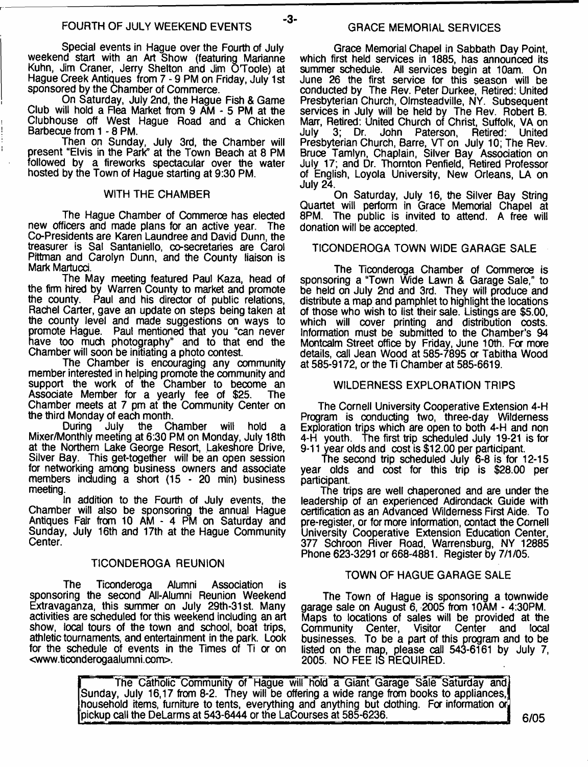$-3-$ 

Special events in Hague over the Fourth of July weekend start with an Art Show (featuring Marianne Kuhn, Jim Craner, Jerry Shelton and Jim O'Toole) at Hague Creek Antiques from 7 - 9 PM on Friday, July 1st sponsored by the Chamber of Commerce.

On Saturday, July 2nd, the Hague Fish & Game Club will hold a Rea Market from 9 AM - 5 PM at the Clubhouse off West Hague Road and a Chicken Barbecue from 1 - 8 PM.

Then on Sunday, July 3rd, the Chamber will present "Elvis in the Park" at the Town Beach at 8 PM followed by a fireworks spectacular over the water hosted by the Town of Hague starting at 9:30 PM.

#### WITH THE CHAMBER

The Hague Chamber of Commerce has elected new officers and made plans for an active year. The Co-Presidents are Karen Laundree and David Dunn, the treasurer is Sal Santaniello, co-secretaries are Carol Pittman and Carolyn Dunn, and the County liaison is Mark Martucd.

The May meeting featured Paul Kaza, head of the firm hired by Warren County to market and promote the county. Paul and his director of public relations, Rachel Carter, gave an update on steps being taken at the county level and made suggestions on ways to promote Hague. Paul mentioned that you "can never have too much photography" and to that end the Chamber will soon be initiating a photo contest.

The Chamber is encouraging any community member interested in helping promote the community and support the work of the Chamber to become an Associate Member for a yearly fee of \$25. The Chamber meets at 7 pm at the Community Center on the third Monday of each month.<br>During July the Cl

the Chamber will hold Mixer/Monthly meeting at 6:30 PM on Monday, July 18th at the Northern Lake George Resort, Lakeshore Drive, Silver Bay. This get-together will be an open session for networking among business owners and associate members including a short (15 - 20 min) business meeting.

In addition to the Fourth of July events, the Chamber will also be sponsoring the annual Hague Antiques Fair from 10 AM - 4 PM on Saturday and Sunday, July 16th and 17th at the Hague Community Center.

#### TICONDEROGA REUNION

The Ticonderoga Alumni Association is sponsoring the second All-Alumni Reunion Weekend Extravaganza, this summer on July 29th-31st. Many activities are scheduled for this weekend including an art show, local tours of the town and school, boat trips, athletic tournaments, and entertainment in the park. Look for the schedule of events in the Times of Ti or on <[www.ticonderogaalumni.com>](http://www.ticonderogaalumni.com).

Grace Memorial Chapel in Sabbath Day Point, which first held services in 1885, has announced its summer schedule. All services begin at 10am. On June 26 the first service for this season will be conducted by The Rev. Peter Durkee, Retired: United Presbyterian Church, Olmsteadville, NY. Subsequent services in July will be held by The Rev. Robert B. Marr, Retired: United Church of Christ, Suffolk, VA on July 3; Dr. John Paterson, Retired: United Presbyterian Church, Barre, VT on July 10; The Rev. Bruce Tamlyn, Chaplain, Silver Bay Association on July 17; and Dr. Thornton Penfield, Retired Professor of English, Loyola University, New Orleans, LA on July 24.

On Saturday, July 16, the Silver Bay String Quartet will perform in Grace Memorial Chapel at 8PM, The public is invited to attend. A free will donation will be accepted.

## TICONDEROGA TOWN WIDE GARAGE SALE

The Ticonderoga Chamber of Commerce is sponsoring a "Town Wide Lawn & Garage Sale," to be held on July 2nd and 3rd. They will produce and distribute a map and pamphlet to highlight the locations of those who wish to list their sale. Listings are \$5.00, which will cover printing and distribution costs. Information must be submitted to the Chamber's 94 Montcalm Street office by Friday, June 10th. For more details, call Jean Wood at 585-7895 a Tabitha Wood at 585-9172, or the Ti Chamber at 585-6619.

#### WILDERNESS EXPLORATION TRIPS

The Cornell University Cooperative Extension 4-H Program is conducting two, three-day Wilderness Exploration trips which are open to both 4-H and non 4-H youth. The first trip scheduled July 19-21 is for 9-11 year olds and cost is \$12.00 per participant.

The second trip scheduled July 6-8 is for 12-15 year olds and cost for this trip is \$28.00 per participant.

The trips are well chaperoned and are under the leadership of an experienced Adirondack Guide with certification as an Advanced Wilderness First Aide. To pre-register, or for more Information, contact the Cornell University Cooperative Extension Education Center, 377 Schroon River Road, Warrensburg, NY 12885 Phone 623-3291 or 668-4881. Register by 7/1 /05.

#### TOWN OF HAGUE GARAGE SALE

The Town of Hague is sponsoring a townwide garage sale on August 6, 2005 from  $10$ AM - 4:30PM. Maps to locations of sales will be provided at the Community Center, Visitor Center and local businesses. To be a part of this program and to be listed on the map, please call 543-6161 by July 7, 2005. NO FEE IS REQUIRED.

The Catholic Community of Hague will hold a Giant Garage Sale Saturday and, Sunday, July 16,17 from 8-2. They will be offering a wide range from books to appliances,) household items, furniture to tents, everything and anything but clothing. For information or pickup call the DeLarms at 543-6444 or the LaCourses at 585-6236.  $\Box$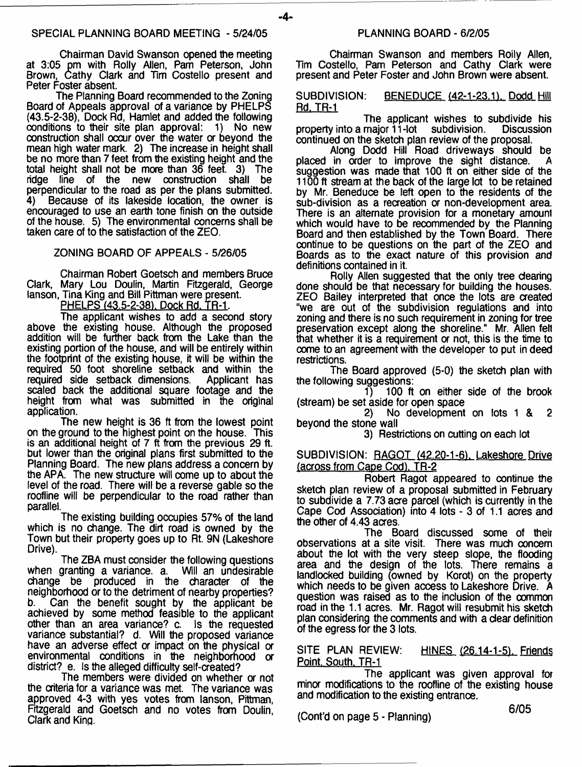-4-

Chairman David Swanson opened the meeting at 3:05 pm with Roily Allen, Pam Peterson, John Brown, Cathy Clark and Tim Costello present and Peter Foster absent.

The Planning Board recommended to the Zoning Board of Appeals approval of a variance by PHELPS (43.5-2-38), Dock Rd, Hamlet and added the following conditions to their site plan approval: 1) No new construction shall occur over the water or beyond the mean high water mark. 2) The increase in height shall be no more than 7 feet from the existing height and the total height shall not be more than 36 feet. 3) The ridge line of the new construction shall be ridge line of the new construction shall be perpendicular to the road as per the plans submitted.<br>4) Because of its lakeside location, the owner is Because of its lakeside location, the owner is encouraged to use an earth tone finish on the outside of the house. 5) The environmental concerns shall be taken care of to the satisfaction of the ZEO.

## ZONING BOARD OF APPEALS - 5/26/05

Chairman Robert Goetsch and members Bruce Clark, Mary Lou Doulin, Martin Fitzgerald, George lanson, Tina King and Bill Pittman were present.

PHELPS (43.5-2-38). Dock Rd. TR-1.

The applicant wishes to add a second story above the existing house. Although the proposed addition will be further back from the Lake than the existing portion of the house, and will be entirely within the footprint of the existing house, it will be within the required 50 foot shoreline setback and within the required side setback dimensions. Applicant has required side setback dimensions. scaled back the additional square footage and the height from what was submitted in the original application.

The new height is 36 ft from the lowest point on the ground to the highest point on the house. This is an additional height of 7 ft from the previous 29 ft. but lower than the original plans first submitted to the Planning Board. The new plans address a concern by the APA. The new structure will come up to about the level of the road. There will be a reverse gable so the roofline will be perpendicular to the road rather than parallel.

The existing building occupies 57% of the land which is no change. The dirt road is owned by the Town but their property goes up to Rt. 9N (Lakeshore Drive).

The ZBA must consider the following questions when granting a variance, a. Will an undesirable change be produced in the character of the neighborhood or to the detriment of nearby properties?<br>b. Can the benefit sought by the applicant be Can the benefit sought by the applicant be achieved by some method feasible to the applicant other than an area variance? c. Is the requested variance substantial? d. Will the proposed variance have an adverse effect or impact on the physical or environmental conditions in the neighborhood or district? e. Is the alleged difficulty self-created?

The members were divided on whether or not the criteria for a variance was met. The variance was approved 4-3 with yes votes from lanson, Pittman, Fitzgerald and Goetsch and no votes from Doulin, Clark and King.

Chairman Swanson and members Roily Allen, Tim Costello, Pam Peterson and Cathy Clark were present and Peter Foster and John Brown were absent.

# SUBDIVISION: BENEDUCE (42-1-23.1), Dodd Hill<br>Rd. TR-1

The applicant wishes to subdivide his<br>maior 11-lot subdivision. Discussion property into a major  $11$ -lot subdivision. continued on the sketch plan review of the proposal.

Along Dodd Hill Road driveways should be placed in order to improve the sight distance. suggestion was made that 100 ft on either side of the 1100 ft stream at the back of the large lot to be retained by Mr. Beneduce be left open to the residents of the sub-division as a recreation or non-development area. There is an alternate provision for a monetary amounl which would have to be recommended by the Planning Board and then established by the Town Board. There continue to be questions on the part of the ZEO and Boards as to the exact nature of this provision and definitions contained in it.

Rolly Allen suggested that the only tree dearing done should be that necessary for building the houses. ZEO Bailey interpreted that once the lots are created °we are out of the subdivision regulations and into zoning and there is no such requirement in zoning for tree preservation except along the shoreline." Mr. Allen fell that whether it is a requirement or not, this is the time to come to an agreement with the developer to put in deed restrictions.

The Board approved (5-0) the sketch plan with the following suggestions:<br>1 100 ft

100 ft on either side of the brook (stream) be set aside for open space<br>2) No development

No development on lots 1 & 2 beyond the stone wall

3) Restrictions on cutting on each lot

#### SUBDIVISION: RAGOT (42.20-1-6), Lakeshore Drive (across from Cape Cod). TR-2

Robert Ragot appeared to continue the sketch plan review of a proposal submitted in February to subdivide a 7.73 acre parcel (which is currently in the Cape Cod Association) into 4 lots - 3 of 1.1 acres and the other of 4.43 acres.

The Board discussed some of their observations at a site visit. There was much concern about the lot with the very steep slope, the flooding area and the design of the lots. There remains a landlocked building (owned by Korot) on the property which needs to be given access to Lakeshore Drive. A question was raised as to the inclusion of the common road in the 1.1 acres. Mr. Ragot will resubmit his sketch plan considering the comments and with a dear definition of the egress for the 3 lots.

SITE PLAN REVIEW: HINES (26.14-1-5). Friends Point. South. TR-1

The applicant was given approval for minor modifications to the roofline of the existing house and modification to the existing entrance.

(Cont'd on page 5 - Planning)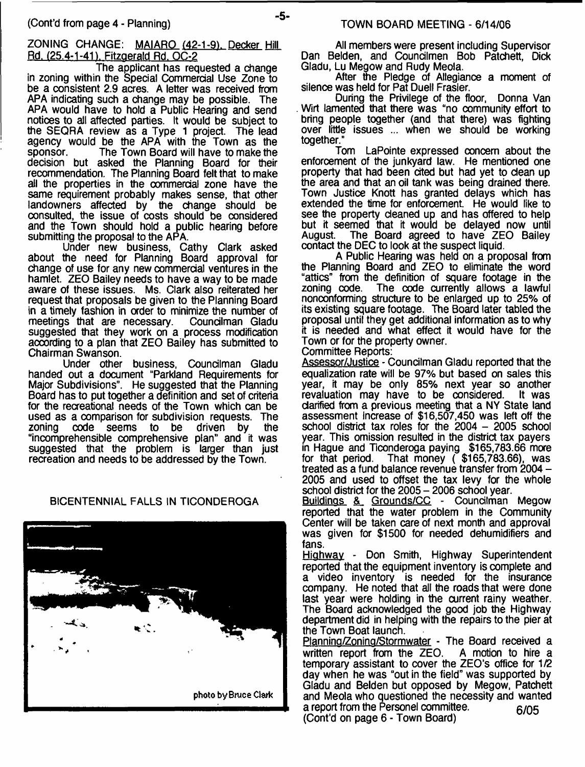## ZONING CHANGE: MAIARO (42-1-91. Decker Hill Rd. (25.4-1-41). Fitzgerald Rd. OC-2

The applicant has requested a change in zoning within the Special Commercial Use Zone to be a consistent 2.9 acres. A letter was received from APA indicating such a change may be possible. The APA would have to hold a Public Hearing and send notices to all affected parties. It would be subject to the SEQRA review as a Type 1 project. The lead agency would be the APA with the Town as the sponsor. The Town Board will have to make the decision but asked the Planning Board for their recommendation. The Planning Board felt that to make all the properties in the commercial zone have the same requirement probably makes sense, that other landowners affected by the change should be consulted, the issue of costs should be considered and the Town should hold a public hearing before submitting the proposal to the APA.

Under new business, Cathy Clark asked about the need for Planning Board approval for change of use for any new commercial ventures in the hamlet. ZEO Bailey needs to have a way to be made aware of these issues. Ms. Clark also reiterated her request that proposals be given to the Planning Board in a timely fashion in order to minimize the number of meetings that are necessary. Councilman Gladu meetings that are necessary. suggested that they work on a process modification according to a plan that ZEO Bailey has submitted to Chairman Swanson.

Under other business, Councilman Gladu handed out a document "Parkland Requirements for Major Subdivisions". He suggested that the Planning Board has to put together a definition and set of criteria for the recreational needs of the Town which can be used as a comparison for subdivision requests. The zoning code seems to be driven by the code seems to be "incomprehensible comprehensive plan" and it was suggested that the problem is larger than just recreation and needs to be addressed by the Town.

## BICENTENNIAL FALLS IN TICONDEROGA



All members were present including Supervisor Dan Belden, and Councilmen Bob Patchett, Dick Gladu, Lu Megow and Rudy Meola.

After the Pledge of Allegiance a moment of silence was held for Pat Duell Frasier.

During the Privilege of the floor, Donna Van Wirt lamented that there was "no community effort to bring people together (and that there) was fighting over little issues ... when we should be working together."

Tom LaPointe expressed concern about the enforcement of the junkyard law. He mentioned one property that had been cited but had yet to dean up the area and that an oil tank was being drained there. Town Justice Knott has granted delays which has extended the time for enforcement. He would like to see the property deaned up and has offered to help but it seemed that it would be delayed now until August. The Board agreed to have ZEO Bailey contact the DEC to look at the suspect liquid.

A Public Hearing was held on a proposal from the Planning Board and ZEO to eliminate the word "attics" from the definition of square footage in the The code currently allows a lawful nonconforming structure to be enlarged up to 25% of its existing square footage. The Board later tabled the proposal until they get additional information as to why it is needed and what effect it would have for the Town or for the property owner.

Committee Reports:

Assessor/Justice - Councilman Gladu reported that the equalization rate will be 97% but based on sales this year, it may be only 85% next year so another revaluation may have to be considered. clarified from a previous meeting that a NY State land assessment increase of \$16,507,450 was left off the school district tax roles for the 2004 - 2005 school year. This omission resulted in the district tax payers in Hague and Ticonderoga paying \$165,783.66 more for that period. That money ( \$165,783.66), was treated as a fund balance revenue transfer from 2004 - 2005 and used to offset the tax levy for the whole school district for the 2005 - 2006 school year.

Buildings & Grounds/CC - Councilman Megow reported that the water problem in the Community Center will be taken care of next month and approval was given for \$1500 for needed dehumidifiers and fans.

Highway - Don Smith, Highway Superintendent reported that the equipment inventory is complete and a video inventory is needed for the insurance company. He noted that all the roads that were done last year were holding in the current rainy weather. The Board acknowledged the good job the Highway department did in helping with the repairs to the pier at the Town Boat launch.

Planning/Zoning/Stormwater - The Board received a<br>written report from the ZEO. A motion to hire a written report from the  $ZEO$ . temporary assistant to cover the ZEO's office for 1/2 day when he was "out in the field" was supported by Gladu and Belden but opposed by Megow, Patchett and Meola who questioned the necessity and wanted a report from the Personel committee.  $6/05$ (Cont'd on page 6 - Town Board)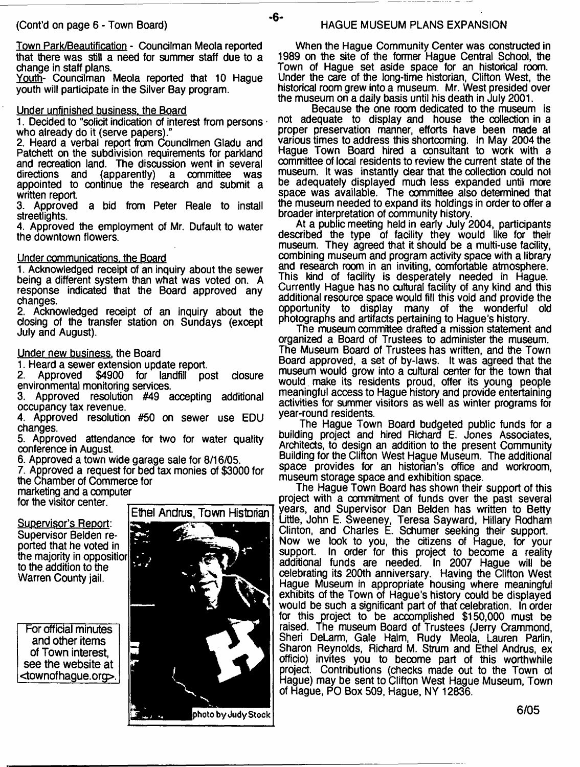Town Park/Beautification - Councilman Meola reported that there was still a need for summer staff due to a change in staff plans.

Youth- Councilman Meola reported that 10 Hague youth will participate in the Silver Bay program.

#### Under unfinished business, the Board

1. Decided to "solicit indication of interest from persons who already do it (serve papers)."

2. Heard a verbal report from Coundlmen Gladu and Patchett on the subdivision requirements for parkland and recreation land. The discussion went in several directions and (apparently) a committee was (apparently) appointed to continue the research and submit a written report.

3. Approved a bid from Peter Reale to install streetlights.

4. Approved the employment of Mr. Dufault to water the downtown flowers.

#### Under communications, the Board

1. Acknowledged receipt of an inquiry about the sewer being a different system than what was voted on. A response indicated that the Board approved any changes.

2. Acknowledged receipt of an inquiry about the closing of the transfer station on Sundays (exoept July and August).

#### Under new business, the Board

1. Heard a sewer extension update report.<br>2. Approved \$4900 for landfill po for landfill post closure environmental monitoring services.

3. Approved resolution #49 accepting additional occupancy tax revenue.

4. Approved resolution #50 on sewer use EDU changes.

5. Approved attendance for two for water quality conference in August

6. Approved a town wide garage sale for 8/16/05.

7. Approved a request for bed tax monies of \$3000 for the Chamber of Commerce for marketing and a computer

 $\mathcal{L}$ 

for the visitor center.

Supervisor's Report: Supervisor Belden reported that he voted in the majority in oppositior to the addition to the Warren County jail.

For official minutes and other items of Town interest, see the website at <townofhague.org>.



Ethel Andrus, Town Historian

When the Hague Community Center was constructed in 1989 on the site of the former Hague Central School, the Town of Hague set aside space for an historical room. Under the care of the long-time historian, Clifton West, the historical room grew into a museum. Mr. West presided over the museum on a daily basis until his death in July 2001.

Because the one room dedicated to the museum is not adequate to display and house the collection in a proper preservation manner, efforts have been made at various times to address this shortcoming. In May 2004 the Hague Town Board hired a consultant to work with a oommittee of local residents to review the current state of the museum. It was instantly dear that the collection could not be adequately displayed much less expanded until more space was available. The committee also determined that the museum needed to expand its holdings in order to offer a broader interpretation of community history.

At a public meeting held in early July 2004, participants described the type of facility they would like for their museum. They agreed that it should be a multi-use facility, combining museum and program activity space with a library and research room in an inviting, comfortable atmosphere. This kind of facility is desperately needed in Hague. Currently Hague has no cultural facility of any kind and this additional resource space would fill this void and provide the opportunity to display many of the wonderful old photographs and artifacts pertaining to Hague's history.

The museum committee drafted a mission statement and organized a Board of Trustees to administer the museum. The Museum Board of Trustees has written, and the Town Board approved, a set of by-laws. It was agreed that the museum would grow into a cultural center for the town that would make its residents proud, offer its young people meaningful access to Hague history and provide entertaining activities for summer visitors as well as winter programs for year-round residents.

The Hague Town Board budgeted public funds for a building project and hired Richard E. Jones Associates, Architects, to design an addition to the present Community Building for the Clifton West Hague Museum. The additional space provides for an historian's office and workroom, museum storage space and exhibition space.

The Hague Town Board has shown their support of this project with a commitment of funds over the past several years, and Supervisor Dan Belden has written to Betty Little, John E. Sweeney, Teresa Sayward, Hillary Rodham Clinton, and Charles E. Schumer seeking their support. Now we look to you, the citizens of Hague, for your support. In order for this project to become a reality additional funds are needed. In 2007 Hague will be celebrating its 200th anniversary. Having the Clifton West Hague Museum in appropriate housing where meaningful exhibits of the Town of Hague's history could be displayed would be such a significant part of that celebration. In order for this project to be accomplished \$150,000 must be raised. The museum Board of Trustees (Jerry Crammond, Sheri DeLarm, Gale Halm, Rudy Meola, Lauren Pariin, Sharon Reynolds, Richard M. Strum and Ethel Andrus, ex officio) invites you to become part of this worthwhile project. Contributions (checks made out to the Town o1 Hague) may be sent to Clifton West Hague Museum, Town of Hague, PO Box 509, Hague, NY 12836.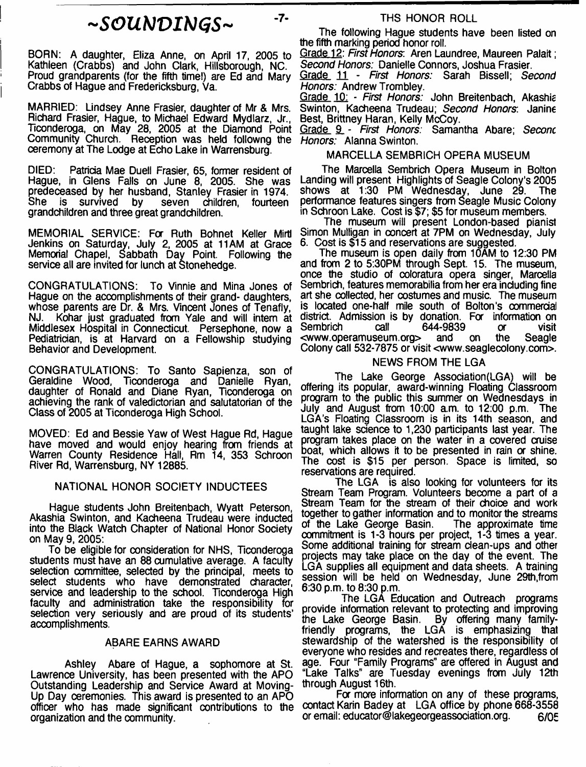## *~SOUbJVIb)GS~*

 $-7-$ 

BORN: A daughter, Eliza Anne, on April 17, 2005 to Kathleen (Crabbs) and John Clark, Hillsborough, NC. Proud grandparents (for the fifth time!) are Ed and Mary Crabbs of Hague and Fredericksburg, Va.

MARRIED: Lindsey Anne Frasier, daughter of Mr & Mrs. Richard Frasier, Hague, to Michael Edward Mydlarz, Jr., Ticonderoga, on May 28, 2005 at the Diamond Point Community Church. Reception was held followng the *Honors:* Alanna Swinton. ceremony at The Lodge at Echo Lake in Warrensburg.

DIED: Patricia Mae Duell Frasier, 65, former resident of Hague, in Glens Falls on June 8, 2005. She was predeceased by her husband, Stanley Frasier in 1974. is survived by seven children, fourteen grandchildren and three great grandchildren.

MEMORIAL SERVICE: For Ruth Bohnet Keller Mirtl Jenkins on Saturday, July 2, 2005 at 11AM at Grace Memorial Chapel, Sabbath Day Point. Following the service all are invited for lunch at Stonehedge.

CONGRATULATIONS: To Vinnie and Mina Jones of Hague on the accomplishments of their grand- daughters, whose parents are Dr. & Mrs. Vincent Jones of Tenafly, NJ. Kohar just graduated from Yale and will intern at Middlesex Hospital in Connecticut. Persephone, now a Pediatrician, is at Harvard on a Fellowship studying Behavior and Development.

CONGRATULATIONS: To Santo Sapienza, son of Geraldine Wood, Ticonderoga and Danielle Ryan, daughter of Ronald and Diane Ryan, Ticonderoga on achieving the rank of valedictorian and salutatorian of the Class of 2005 at Ticonderoga High School.

MOVED: Ed and Bessie Yaw of West Hague Rd, Hague have moved and would enjoy hearing from friends at Warren County Residence Hall, Rm 14, 353 Schroon River Rd, Warrensburg, NY 12885.

#### NATIONAL HONOR SOCIETY INDUCTEES

Hague students John Breitenbach, Wyatt Peterson, Akashia Swinton, and Kacheena Trudeau were inducted into the Black Watch Chapter of National Honor Society on May 9, 2005:

To be eligible for consideration for NHS, Ticonderoga students must have an 88 cumulative average. A faculty selection committee, selected by the principal, meets to select students who have demonstrated character, service and leadership to the school. Ticonderoga High faculty and administration take the responsibility for selection very seriously and are proud of its students' accomplishments.

#### ABARE EARNS AWARD

Ashley Abare of Hague, a sophomore at St. Lawrence University, has been presented with the APO Outstanding Leadership and Service Award at Moving-Up Day ceremonies. This award is presented to an APO officer who has made significant contributions to the organization and the community.

#### THS HONOR ROLL

The following Hague students have been listed on the fifth marking period honor roll.

Grade 12: *First Honors.* Aren Laundree, Maureen Palait; *Second Honors:* Danielle Connors, Joshua Frasier.

Grade 11 - *First Honors:* Sarah Bissell; *Second Honors:* Andrew Trombley.

Grade 10: - *First Honors:* John Breitenbach, Akashic Swinton, Kacheena Trudeau; *Second Honors* Janine Best, Brittney Haran, Kelly McCoy.

G\_rade SL - *First Honors:* Samantha Abare; *Seconc*

#### MARCELLA SEMBRICH OPERA MUSEUM

The Marcella Sembrich Opera Museum in Bolton Landing will present Highlights of Seagle Colony's 2005<br>shows at 1:30 PM Wednesday, June 29. The shows at 1:30 PM Wednesday, June 29. performance features singers from Seagle Music Colony in Schroon Lake. Cost is \$7; \$5 for museum members.

The museum will present London-based pianist Simon Mulligan in concert at 7PM on Wednesday, July 6. Cost is \$15 and reservations are suggested.

The museum is open daily from 10AM to 12:30 PM and from 2 to 5:30PM through Sept. 15. The museum, once the studio of coloratura opera singer, Marcella Sembrich, features memorabilia from her era including fine art she collected, her costumes and music. The museum is located one-half mile south of Bolton's commercial district. Admission is by donation. For information on<br>Sembrich call 644-9839 or visit  $644-9839$  or  $20$ <br>and on the <[www.operamuseum.org](http://www.operamuseum.org)> and on the Seagle Colony call 532-7875 or visit <[www.seaglecolony.com](http://www.seaglecolony.com)>.

#### NEWS FROM THE LGA

The Lake George Association (LGA) will be offering its popular, award-winning Floating Classroom program to the public this summer on Wednesdays in July and August from 10:00 am. to 12:00 p.m. The LGA's Floating Classroom is in its 14th season, and taught lake science to 1,230 participants last year. The program takes place on the water in a covered cruise boat, which allows it to be presented in rain or shine. The cost is \$15 per person. Space is limited, so reservations are required.

The LGA is also looking for volunteers for its Stream Team Program. Volunteers become a part of a Stream Team for the stream of their choice and work together to gather information and to monitor the streams of the Lake George Basin. The approximate time commitment is 1-3 hours per project, 1-3 times a year. Some additional training for stream dean-ups and other projects may take place on the day of the event. The LGA supplies all equipment and data sheets. A training session will be held on Wednesday, June 29th, from 6:30 p.m. to 8:30 p.m.

The LGA Education and Outreach programs provide information relevant to protecting and improving the Lake George Basin. By offering many familyfriendly programs, the LGA is emphasizing that stewardship of the watershed is the responsibility of everyone who resides and recreates there, regardless of age. Four "Family Programs" are offered in August and "Lake Talks" are Tuesday evenings from July 12th through August 16th.

For more information on any of these programs, contact Karin Badey at LGA office by phone 668-3558 or email: educator@lakegeorgeassociation.org. 6/05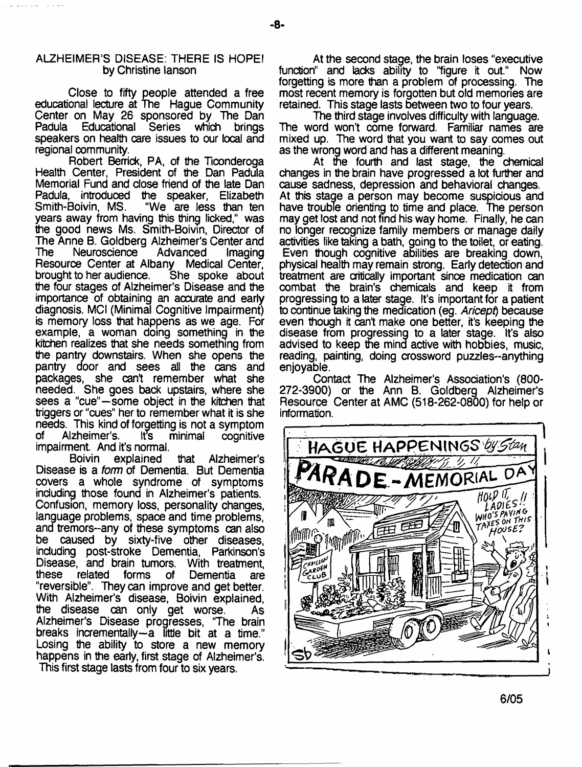## ALZHEIMER'S DISEASE: THERE IS HOPE! by Christine lanson

Close to fifty people attended a free educational lecture at The Hague Community Center on May 26 sponsored by The Dan<br>Padula Educational Series which brings which brings speakers on health care issues to our local and regional community.

Robert Berrick, PA, of the Ticonderoga Health Center, President of the Dan Padula Memorial Fund and dose friend of the late Dan Padula, introduced the speaker, Elizabeth "We are less than ten years away from having this thing licked," was the good news Ms. Smith-Boivin, Director of The Anne B. Goldberg Alzheimer's Center and<br>The Neuroscience Advanced Imaging Neuroscience Resource Center at Albany Medical Center,<br>brought to her audience. She spoke about brought to her audience. the four stages of Alzheimer's Disease and the importance of obtaining an accurate and early diagnosis. MCI (Minimal Cognitive Impairment) is memory loss that happens as we age. For example, a woman doing something in the kitchen realizes that she needs something from the pantry downstairs. When she opens the pantry door and sees ail the cans and packages, she cant remember what she needed. She goes back upstairs, where she sees a "cue"—some object in the kitchen that triggers or "cues" her to remember what it is she needs. This kind of forgetting is not a symptom<br>of Alzheimer's. It's minimal cognitive Alzheimer's. It's minimal cognitive impairment. And it's normal.

Boivin explained that Alzheimer's Disease is a *form* of Dementia. But Dementia covers a whole syndrome of symptoms including those found in Alzheimer's patients. Confusion, memory loss, personality changes, language problems, space and time problems, and tremors-any of these symptoms can also be caused by sixty-five other diseases, induding post-stroke Dementia, Parkinson's Disease, and brain tumors. With treatment,<br>these related forms of Dementia are of Dementia are "reversible". They can improve and get better. With Alzheimer's disease, Boivin explained, the disease can only get worse. As Alzheimer's Disease progresses, 'The brain breaks incrementally—a little bit at a time." Losing the ability to store a new memory happens in the early, first stage of Alzheimer's. This first stage lasts from four to six years.

At the second stage, the brain loses "executive function" and lacks ability to "figure it out." Now forgetting is more than a problem of processing. The most recent memory is forgotten but old memories are retained. This stage lasts between two to four years.

The third stage involves difficulty with language. The word won't come forward. Familiar names are mixed up. The word that you want to say comes out as the wrong word and has a different meaning.

At tne fourth and last stage, the chemical changes in the brain have progressed a lot further and cause sadness, depression and behavioral changes. At this stage a person may become suspicious and have trouble orienting to time and place. The person may get lost and not find his way home. Finally, he can no longer recognize family members or manage daily activities like taking a bath, going to the toilet, or eating. Even though cognitive abilities are breaking down, physical health may remain strong. Early detection and treatment are critically important since medication can combat the brain's chemicals and keep it from progressing to a later stage. It's important for a patient to continue taking the medication (eg. *Aricept)* because even though it can't make one better, it's keeping the disease from progressing to a later stage. It's also advised to keep the mind active with hobbies, music, reading, painting, doing crossword puzzles-anything enjoyable.

Contact The Alzheimer's Association's (800- 272-3900) or the Ann B. Goldberg Alzheimer's Resource Center at AMC (518-262-0800) for help or information.

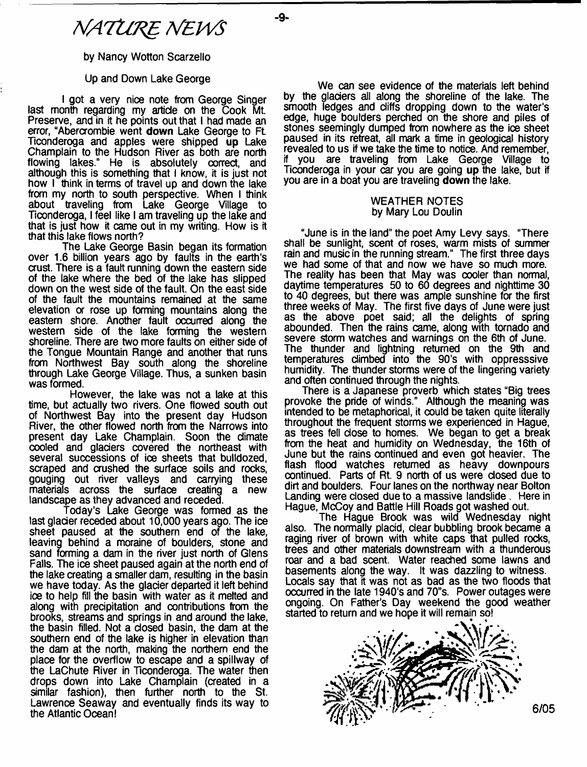by Nancy Wotton Scarzello

#### Up and Down Lake George

I got a very nice note from George Singer last month regarding my article on the Cook Mt. Preserve, and in it he points out that I had made an error, "Abercrombie went **down** Lake George to Ft Ticonderoga and apples were shipped **up** Lake Champlain to the Hudson River as both are north flowing lakes." He is absolutely oorrect, and although this is something that I know, it is just not how I think in terms of travel up and down the lake from my north to south perspective. When I think about traveling from Lake George Village to Ticonderoga, I feel like I am traveling up the lake and that is just how it came out in my writing. How is it that this lake flows north?

The Lake George Basin began its formation over 1.6 billion years ago by faults in the earth's crust. There is a fault running down the eastern side of the lake where the bed of the lake has slipped down on the west side of the fault. On the east side of the fault the mountains remained at the same elevation or rose up forming mountains along the eastern shore. Another fault occurred along the western side of the lake forming the western shoreline. There are two more faults on either side of the Tongue Mountain Range and another that runs from Northwest Bay south along the shoreline through Lake George Village. Thus, a sunken basin was formed.

However, the lake was not a lake at this time, but actually two rivers. One flowed south out of Northwest Bay into the present day Hudson River, the other flowed north from the Narrows into present day Lake Champlain. Soon the climate cooled and glaciers covered the northeast with several successions of ice sheets that bulldozed, scraped and crushed the surface soils and rocks, gouging out river valleys and carrying these<br>materials across the surface creating a new materials across the surface creating landscape as they advanced and receded.

Today's Lake George was formed as the last glacier receded about 10,000 years ago. The ice sheet paused at the southern end of the lake, leaving behind a moraine of boulders, stone and sand forming a dam in the river just north of Glens Falls. The ice sheet paused again at the north end of the lake creating a smaller dam, resulting in the basin we have today. As the glacier departed it left behind ioe to help fill the basin with water as it melted and along with precipitation and contributions from the brooks, streams and springs in and around the lake, the basin filled. Not a closed basin, the dam at the southern end of the lake is higher in elevation than the dam at the north, making the northern end the place for the overflow to escape and a spillway of the LaChute River in Ticonderoga. The water then drops down into Lake Champlain (created in a similar fashion), then further north to the St. Lawrence Seaway and eventually finds its way to the Atlantic Ocean!

We can see evidence of the materials left behind by the glaciers all along the shoreline of the lake. The smooth ledges and cliffs dropping down to the water's edge, huge boulders perched on the shore and piles of stones seemingly dumped from nowhere as the ioe sheet paused in its retreat, all mark a time in geological history revealed to us if we take the time to notice. And remember, if you are traveling from Lake George Village to Ticonderoga in your car you are going **up** the lake, but if you are in a boat you are traveling **down** the lake.

#### WEATHER NOTES by Mary Lou Doulin

"June is in the land" the poet Amy Levy says. "There shall be sunlight, scent of roses, warm mists of summer rain and music in the running stream." The first three days we had some of that and now we have so much more. The reality has been that May was cooler than normal, daytime temperatures 50 to 60 degrees and nighttime 30 to 40 degrees, but there was ample sunshine for the first three weeks of May. The first five days of June were just as the above poet said; all the delights of spring abounded. Then the rains came, along with tornado and severe storm watches and warnings on the 6th of June. The thunder and lightning returned on the 9th and temperatures climbed into the 90's with oppresssive humidity. The thunder storms were of the lingering variety and often continued through the nights.

There is a Japanese proverb which states "Big trees provoke the pride of winds." Although the meaning was intended to be metaphorical, it could be taken quite literally throughout the frequent storms we experienced in Hague, as trees fell dose to homes. We began to get a break from the heat and humidity on Wednesday, the 16th of June but the rains continued and even got heavier. The flash flood watches returned as heavy downpours continued. Parts of Rt. 9 north of us were dosed due to dirt and boulders. Four lanes on the northway near Bolton Landing were dosed due to a massive landslide. Here in Hague, McCoy and Battle Hill Roads got washed out.

The Hague Brook was wild Wednesday night also. The normally placid, clear bubbling brook became a raging river of brown with white caps that pulled rocks, trees and other materials downstream with a thunderous roar and a bad scent. Water reached some lawns and basements along the way. It was dazzling to witness. Locals say that it was not as bad as the two floods that occurred in the late 1940's and 70"s. Power outages were ongoing. On Father's Day weekend the good weather started to return and we hope it will remain so!